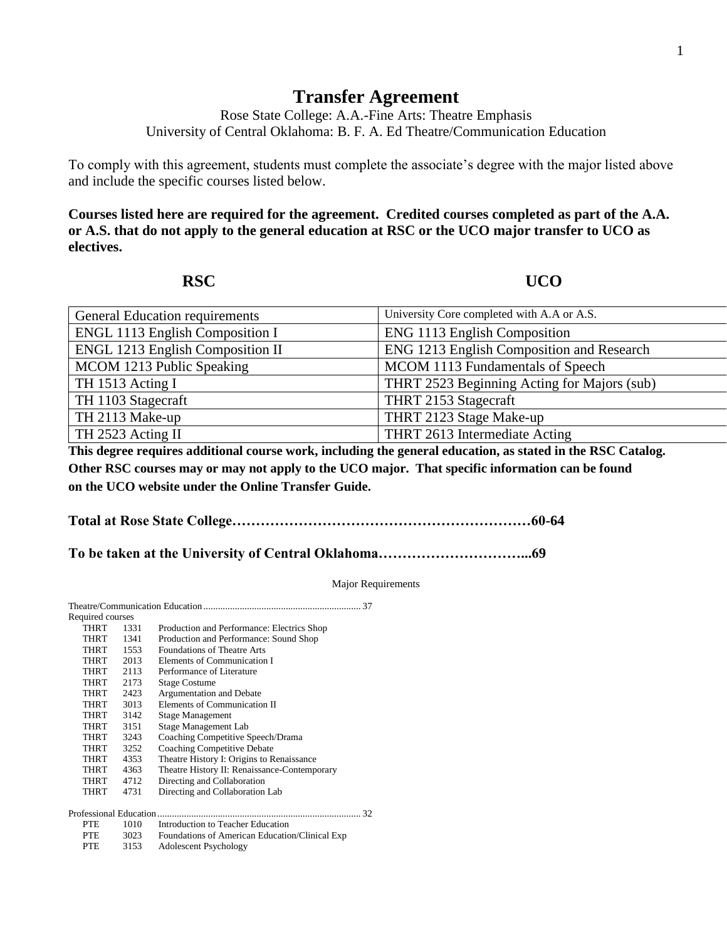## **Transfer Agreement**

Rose State College: A.A.-Fine Arts: Theatre Emphasis University of Central Oklahoma: B. F. A. Ed Theatre/Communication Education

To comply with this agreement, students must complete the associate's degree with the major listed above and include the specific courses listed below.

**Courses listed here are required for the agreement. Credited courses completed as part of the A.A. or A.S. that do not apply to the general education at RSC or the UCO major transfer to UCO as electives.**

**RSC UCO** 

| <b>General Education requirements</b>   | University Core completed with A.A or A.S.  |
|-----------------------------------------|---------------------------------------------|
| <b>ENGL 1113 English Composition I</b>  | ENG 1113 English Composition                |
| <b>ENGL 1213 English Composition II</b> | ENG 1213 English Composition and Research   |
| MCOM 1213 Public Speaking               | MCOM 1113 Fundamentals of Speech            |
| TH 1513 Acting I                        | THRT 2523 Beginning Acting for Majors (sub) |
| TH 1103 Stagecraft                      | THRT 2153 Stagecraft                        |
| TH 2113 Make-up                         | THRT 2123 Stage Make-up                     |
| TH 2523 Acting II                       | THRT 2613 Intermediate Acting               |

**This degree requires additional course work, including the general education, as stated in the RSC Catalog. Other RSC courses may or may not apply to the UCO major. That specific information can be found on the UCO website under the Online Transfer Guide.**

**Total at Rose State College………………………………………………………60-64**

**To be taken at the University of Central Oklahoma…………………………...69**

Major Requirements

| Required courses       |      |                                                |    |
|------------------------|------|------------------------------------------------|----|
| <b>THRT</b>            | 1331 | Production and Performance: Electrics Shop     |    |
| <b>THRT</b>            | 1341 | Production and Performance: Sound Shop         |    |
| <b>THRT</b>            | 1553 | <b>Foundations of Theatre Arts</b>             |    |
| THRT                   | 2013 | Elements of Communication I                    |    |
| THRT                   | 2113 | Performance of Literature                      |    |
| <b>THRT</b>            | 2173 | <b>Stage Costume</b>                           |    |
| <b>THRT</b>            | 2423 | Argumentation and Debate                       |    |
| <b>THRT</b>            | 3013 | Elements of Communication II                   |    |
| <b>THRT</b>            | 3142 | <b>Stage Management</b>                        |    |
| THRT                   | 3151 | Stage Management Lab                           |    |
| THRT                   | 3243 | Coaching Competitive Speech/Drama              |    |
| <b>THRT</b>            | 3252 | <b>Coaching Competitive Debate</b>             |    |
| <b>THRT</b>            | 4353 | Theatre History I: Origins to Renaissance      |    |
| <b>THRT</b>            | 4363 | Theatre History II: Renaissance-Contemporary   |    |
| <b>THRT</b>            | 4712 | Directing and Collaboration                    |    |
| THRT                   | 4731 | Directing and Collaboration Lab                |    |
| Professional Education |      |                                                | 32 |
| PTE.                   | 1010 | Introduction to Teacher Education              |    |
| <b>PTE</b>             | 3023 | Foundations of American Education/Clinical Exp |    |
| <b>PTE</b>             | 3153 | <b>Adolescent Psychology</b>                   |    |
|                        |      |                                                |    |